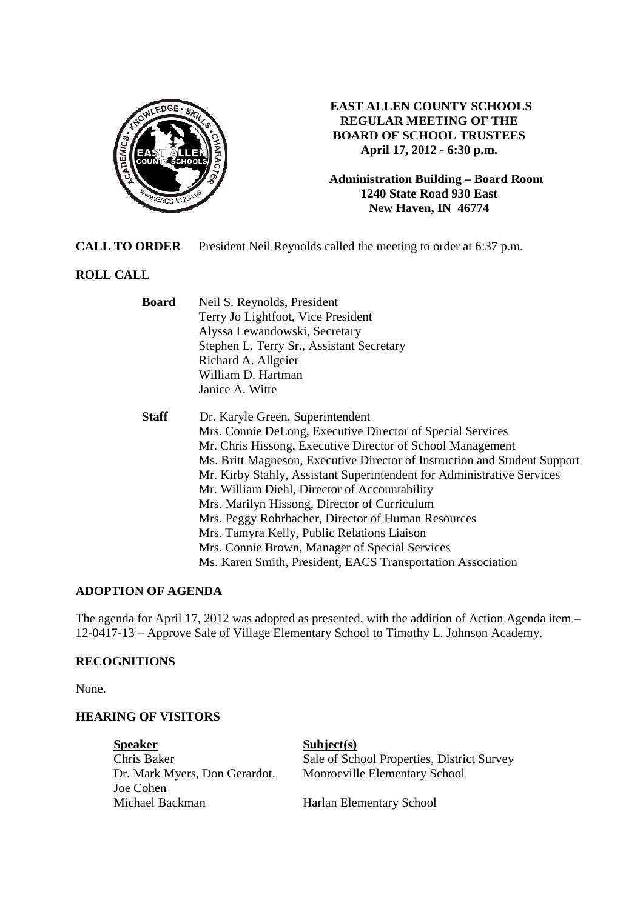

## **EAST ALLEN COUNTY SCHOOLS REGULAR MEETING OF THE BOARD OF SCHOOL TRUSTEES April 17, 2012 - 6:30 p.m.**

**Administration Building – Board Room 1240 State Road 930 East New Haven, IN 46774**

**CALL TO ORDER** President Neil Reynolds called the meeting to order at 6:37 p.m.

# **ROLL CALL**

| <b>Board</b> | Neil S. Reynolds, President                                               |  |  |  |
|--------------|---------------------------------------------------------------------------|--|--|--|
|              | Terry Jo Lightfoot, Vice President                                        |  |  |  |
|              | Alyssa Lewandowski, Secretary                                             |  |  |  |
|              | Stephen L. Terry Sr., Assistant Secretary                                 |  |  |  |
|              | Richard A. Allgeier                                                       |  |  |  |
|              | William D. Hartman                                                        |  |  |  |
|              | Janice A. Witte                                                           |  |  |  |
| <b>Staff</b> | Dr. Karyle Green, Superintendent                                          |  |  |  |
|              | Mrs. Connie DeLong, Executive Director of Special Services                |  |  |  |
|              | Mr. Chris Hissong, Executive Director of School Management                |  |  |  |
|              | Ms. Britt Magneson, Executive Director of Instruction and Student Support |  |  |  |
|              | Mr. Kirby Stahly, Assistant Superintendent for Administrative Services    |  |  |  |
|              | Mr. William Diehl, Director of Accountability                             |  |  |  |
|              | Mrs. Marilyn Hissong, Director of Curriculum                              |  |  |  |
|              | Mrs. Peggy Rohrbacher, Director of Human Resources                        |  |  |  |
|              | Mrs. Tamyra Kelly, Public Relations Liaison                               |  |  |  |
|              | Mrs. Connie Brown, Manager of Special Services                            |  |  |  |
|              | Ms. Karen Smith, President, EACS Transportation Association               |  |  |  |

## **ADOPTION OF AGENDA**

The agenda for April 17, 2012 was adopted as presented, with the addition of Action Agenda item – 12-0417-13 – Approve Sale of Village Elementary School to Timothy L. Johnson Academy.

## **RECOGNITIONS**

None.

#### **HEARING OF VISITORS**

**Speaker** Subject(s) Joe Cohen Michael Backman Harlan Elementary School

Chris Baker Sale of School Properties, District Survey Dr. Mark Myers, Don Gerardot, Monroeville Elementary School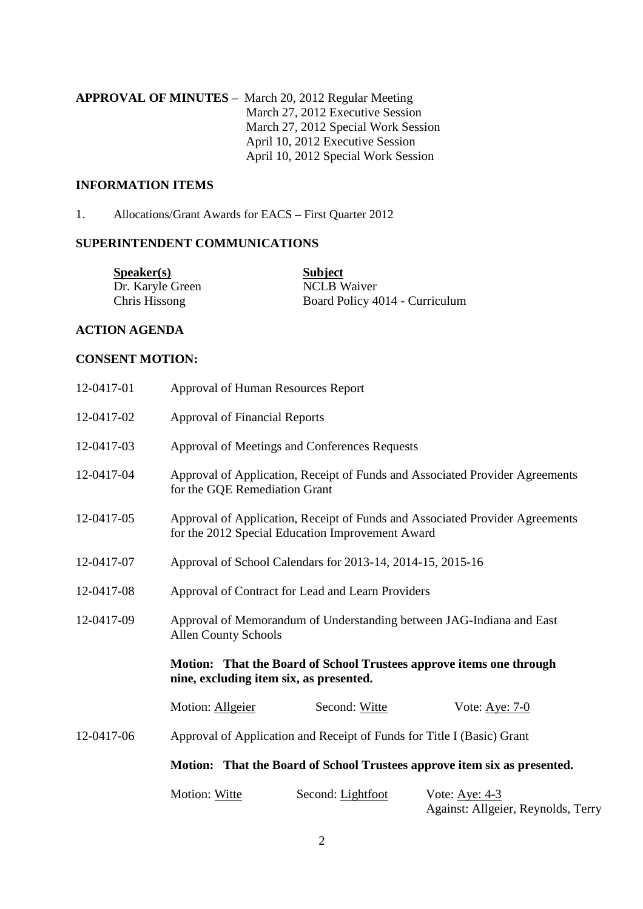**APPROVAL OF MINUTES** – March 20, 2012 Regular Meeting March 27, 2012 Executive Session March 27, 2012 Special Work Session April 10, 2012 Executive Session April 10, 2012 Special Work Session

## **INFORMATION ITEMS**

1. Allocations/Grant Awards for EACS – First Quarter 2012

## **SUPERINTENDENT COMMUNICATIONS**

| S <sub>p</sub> e <sub>aker(s)</sub> | <b>Subject</b>                 |
|-------------------------------------|--------------------------------|
| Dr. Karyle Green                    | <b>NCLB</b> Waiver             |
| Chris Hissong                       | Board Policy 4014 - Curriculum |

## **ACTION AGENDA**

#### **CONSENT MOTION:**

| 12-0417-01 | Approval of Human Resources Report                                                                                               |  |  |  |  |
|------------|----------------------------------------------------------------------------------------------------------------------------------|--|--|--|--|
| 12-0417-02 | <b>Approval of Financial Reports</b>                                                                                             |  |  |  |  |
| 12-0417-03 | Approval of Meetings and Conferences Requests                                                                                    |  |  |  |  |
| 12-0417-04 | Approval of Application, Receipt of Funds and Associated Provider Agreements<br>for the GQE Remediation Grant                    |  |  |  |  |
| 12-0417-05 | Approval of Application, Receipt of Funds and Associated Provider Agreements<br>for the 2012 Special Education Improvement Award |  |  |  |  |
| 12-0417-07 | Approval of School Calendars for 2013-14, 2014-15, 2015-16                                                                       |  |  |  |  |
| 12-0417-08 | Approval of Contract for Lead and Learn Providers                                                                                |  |  |  |  |
| 12-0417-09 | Approval of Memorandum of Understanding between JAG-Indiana and East<br><b>Allen County Schools</b>                              |  |  |  |  |
|            | Motion: That the Board of School Trustees approve items one through<br>nine, excluding item six, as presented.                   |  |  |  |  |
|            | Motion: Allgeier<br>Second: Witte<br>Vote: Aye: 7-0                                                                              |  |  |  |  |
| 12-0417-06 | Approval of Application and Receipt of Funds for Title I (Basic) Grant                                                           |  |  |  |  |
|            | Motion: That the Board of School Trustees approve item six as presented.                                                         |  |  |  |  |
|            | Motion: Witte<br>Second: Lightfoot<br>Vote: Aye: 4-3<br>Against: Allgeier, Reynolds, Terry                                       |  |  |  |  |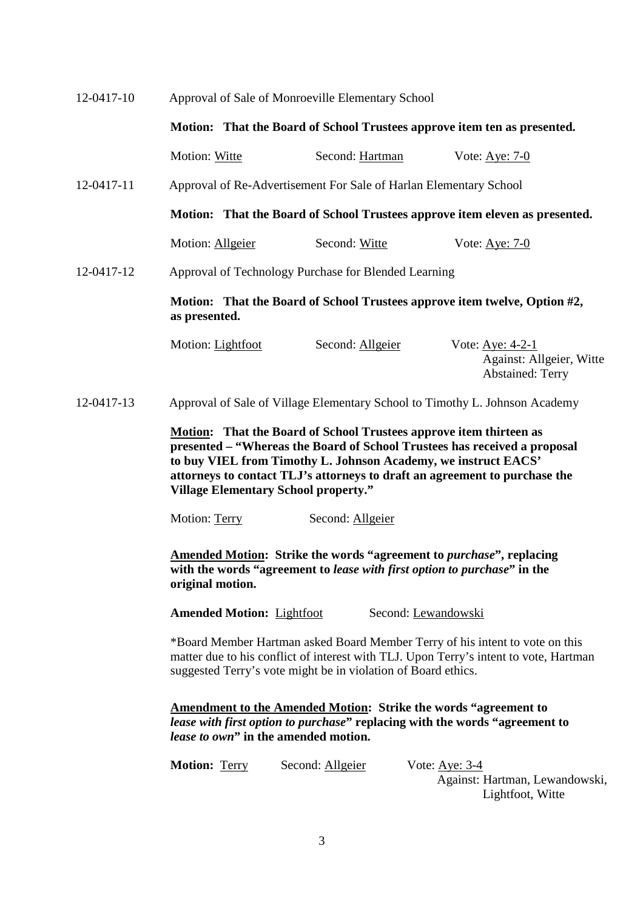| 12-0417-10 | Approval of Sale of Monroeville Elementary School                                                                                                                                                                                                                                                                                              |                                                                             |                                                                         |  |  |
|------------|------------------------------------------------------------------------------------------------------------------------------------------------------------------------------------------------------------------------------------------------------------------------------------------------------------------------------------------------|-----------------------------------------------------------------------------|-------------------------------------------------------------------------|--|--|
|            | Motion: That the Board of School Trustees approve item ten as presented.                                                                                                                                                                                                                                                                       |                                                                             |                                                                         |  |  |
|            | Motion: Witte                                                                                                                                                                                                                                                                                                                                  | Second: Hartman                                                             | Vote: $Aye: 7-0$                                                        |  |  |
| 12-0417-11 | Approval of Re-Advertisement For Sale of Harlan Elementary School                                                                                                                                                                                                                                                                              |                                                                             |                                                                         |  |  |
|            | Motion: That the Board of School Trustees approve item eleven as presented.                                                                                                                                                                                                                                                                    |                                                                             |                                                                         |  |  |
|            | Motion: Allgeier                                                                                                                                                                                                                                                                                                                               | Second: Witte                                                               | Vote: $Aye: 7-0$                                                        |  |  |
| 12-0417-12 | Approval of Technology Purchase for Blended Learning                                                                                                                                                                                                                                                                                           |                                                                             |                                                                         |  |  |
|            | Motion: That the Board of School Trustees approve item twelve, Option #2,<br>as presented.                                                                                                                                                                                                                                                     |                                                                             |                                                                         |  |  |
|            | Motion: Lightfoot                                                                                                                                                                                                                                                                                                                              | Second: Allgeier                                                            | Vote: Aye: 4-2-1<br>Against: Allgeier, Witte<br><b>Abstained: Terry</b> |  |  |
| 12-0417-13 |                                                                                                                                                                                                                                                                                                                                                | Approval of Sale of Village Elementary School to Timothy L. Johnson Academy |                                                                         |  |  |
|            | Motion: That the Board of School Trustees approve item thirteen as<br>presented – "Whereas the Board of School Trustees has received a proposal<br>to buy VIEL from Timothy L. Johnson Academy, we instruct EACS'<br>attorneys to contact TLJ's attorneys to draft an agreement to purchase the<br><b>Village Elementary School property."</b> |                                                                             |                                                                         |  |  |
|            | Motion: Terry                                                                                                                                                                                                                                                                                                                                  | Second: Allgeier                                                            |                                                                         |  |  |
|            | <b>Amended Motion:</b> Strike the words "agreement to <i>purchase</i> ", replacing<br>with the words "agreement to lease with first option to purchase" in the<br>original motion.                                                                                                                                                             |                                                                             |                                                                         |  |  |
|            | <b>Amended Motion: Lightfoot</b><br>Second: Lewandowski                                                                                                                                                                                                                                                                                        |                                                                             |                                                                         |  |  |
|            | *Board Member Hartman asked Board Member Terry of his intent to vote on this<br>matter due to his conflict of interest with TLJ. Upon Terry's intent to vote, Hartman<br>suggested Terry's vote might be in violation of Board ethics.                                                                                                         |                                                                             |                                                                         |  |  |
|            | <b>Amendment to the Amended Motion: Strike the words "agreement to</b><br>lease with first option to purchase" replacing with the words "agreement to<br>lease to own" in the amended motion.                                                                                                                                                  |                                                                             |                                                                         |  |  |
|            | Motion: Terry                                                                                                                                                                                                                                                                                                                                  | Second: Allgeier                                                            | Vote: <u>Aye: 3-4</u>                                                   |  |  |

 Against: Hartman, Lewandowski, Lightfoot, Witte